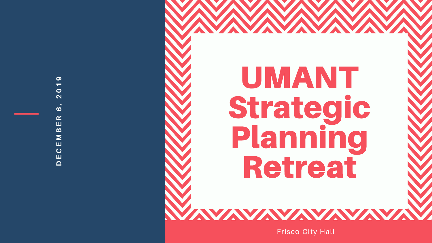



Frisco City Hall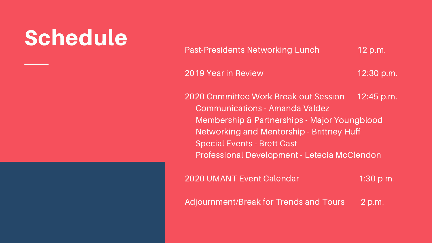2019 Year in Review 12:30 p.m.

2020 Committee Work Break-out Session 12:45 p.m. Communications - Amanda Valdez Membership & Partnerships - Major Youngblood Networking and Mentorship - Brittney Huff Special Events - Brett Cast Professional Development - Letecia McClendon

2020 UMANT Event Calendar 1:30 p.m.

Adjournment/Break for Trends and Tours 2 p.m.

## Schedule

Past-Presidents Networking Lunch 12 p.m.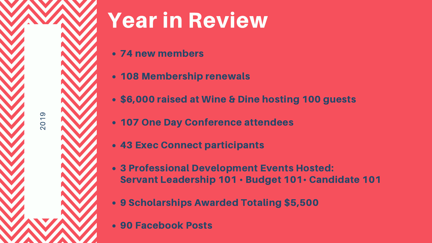- new members
- 108 Membership renewals
- \$6,000 raised at Wine & Dine hosting 100 guests
- One Day Conference attendees
- Exec Connect participants
- Professional Development Events Hosted: Servant Leadership 101 • Budget 101• Candidate 101
- Scholarships Awarded Totaling \$5,500
- Facebook Posts

# Year in Review

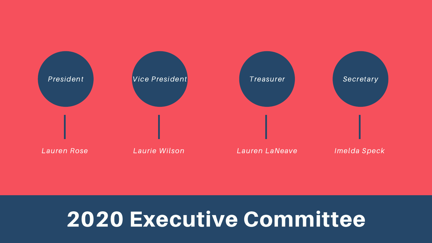### 2020 Executive Committee



Imelda Speck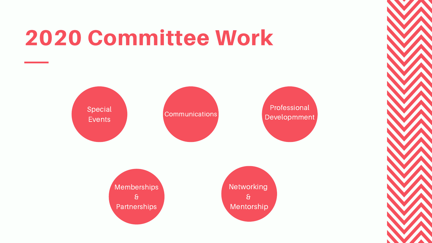## 2020 Committee Work









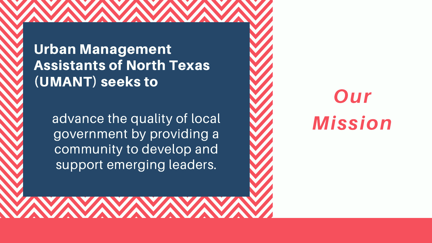Urban Management Assistants of North Texas (UMANT) seeks to

> advance the quality of local aovernment by providing a community to develop and support emerging leaders.

Our **Mission**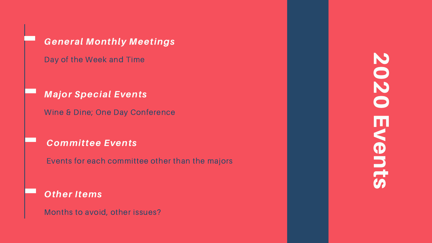General Monthly Meetings

Day of the Week and Time

**Major Special Events** 

Wine & Dine; One Day Conference

Committee Events

Events for each committee other than the majors

Other Items

Months to avoid, other issues?

# 2020 Events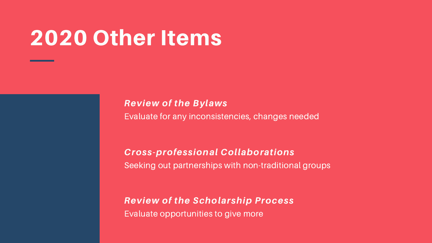## 2020 Other Items

Review of the Bylaws Evaluate for any inconsistencies, changes needed

Cross-professional Collaborations Seeking out partnerships with non-traditional groups

Review of the Scholarship Process Evaluate opportunities to give more